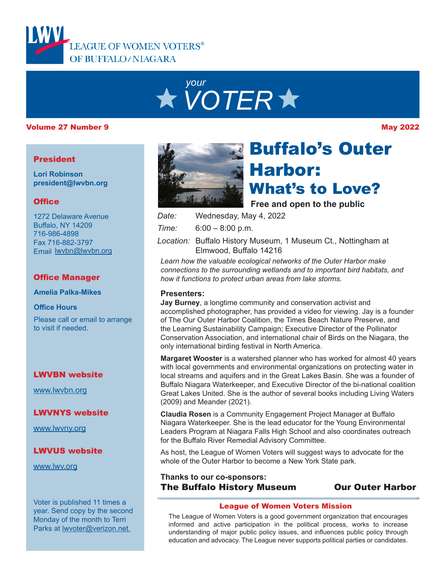

# *your VOTER*

#### Volume 27 Number 9 May 2022

#### President

**Lori Robinson president@lwvbn.org**

### **Office**

1272 Delaware Avenue Buffalo, NY 14209 716-986-4898 Fax 716-882-3797 Email lwvbn@lwvbn.org

## Office Manager

**Amelia Palka-Mikes**

#### **Office Hours**

Please call or email to arrange to visit if needed.

### LWVBN website

[www.lwvbn.org](https://www.lwvbn.org/)

### LWVNYS website

[www.lwvny.org](https://www.lwvny.org/)

### LWVUS website

[www.lwv.org](https://www.lwv.org/)

Voter is published 11 times a year. Send copy by the second Monday of the month to Terri Parks at [lwvoter@verizon.net](mailto://lwvoter@verizon.net).



# Buffalo's Outer Harbor: What's to Love?

**Free and open to the public**

- *Date:* Wednesday, May 4, 2022
- *Time:* 6:00 8:00 p.m.
- Location: Buffalo History Museum, 1 Museum Ct., Nottingham at Elmwood, Buffalo 14216

*Learn how the valuable ecological networks of the Outer Harbor make connections to the surrounding wetlands and to important bird habitats, and how it functions to protect urban areas from lake storms.*

### **Presenters:**

**Jay Burney**, a longtime community and conservation activist and accomplished photographer, has provided a video for viewing. Jay is a founder of The Our Outer Harbor Coalition, the Times Beach Nature Preserve, and the Learning Sustainability Campaign; Executive Director of the Pollinator Conservation Association, and international chair of Birds on the Niagara, the only international birding festival in North America.

**Margaret Wooster** is a watershed planner who has worked for almost 40 years with local governments and environmental organizations on protecting water in local streams and aquifers and in the Great Lakes Basin. She was a founder of Buffalo Niagara Waterkeeper, and Executive Director of the bi-national coalition Great Lakes United. She is the author of several books including Living Waters (2009) and Meander (2021).

**Claudia Rosen** is a Community Engagement Project Manager at Buffalo Niagara Waterkeeper. She is the lead educator for the Young Environmental Leaders Program at Niagara Falls High School and also coordinates outreach for the Buffalo River Remedial Advisory Committee.

As host, the League of Women Voters will suggest ways to advocate for the whole of the Outer Harbor to become a New York State park.

### **Thanks to our co-sponsors:** The Buffalo History Museum Our Outer Harbor

#### League of Women Voters Mission

The League of Women Voters is a good government organization that encourages informed and active participation in the political process, works to increase understanding of major public policy issues, and influences public policy through education and advocacy. The League never supports political parties or candidates.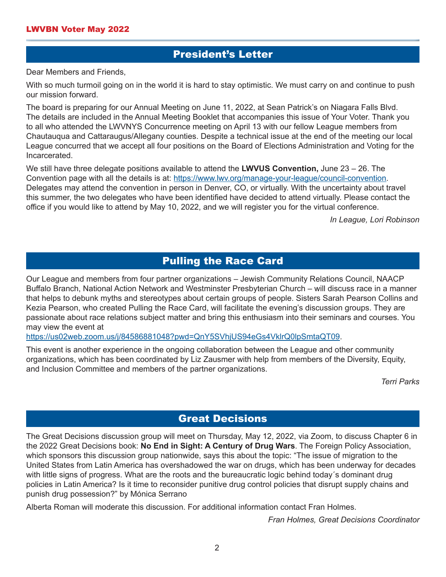## President's Letter

Dear Members and Friends,

With so much turmoil going on in the world it is hard to stay optimistic. We must carry on and continue to push our mission forward.

The board is preparing for our Annual Meeting on June 11, 2022, at Sean Patrick's on Niagara Falls Blvd. The details are included in the Annual Meeting Booklet that accompanies this issue of Your Voter. Thank you to all who attended the LWVNYS Concurrence meeting on April 13 with our fellow League members from Chautauqua and Cattaraugus/Allegany counties. Despite a technical issue at the end of the meeting our local League concurred that we accept all four positions on the Board of Elections Administration and Voting for the Incarcerated.

We still have three delegate positions available to attend the **LWVUS Convention,** June 23 – 26. The Convention page with all the details is at: [https://www.lwv.org/manage-your-league/council-conventio](https://www.lwv.org/manage-your-league/council-convention)n. Delegates may attend the convention in person in Denver, CO, or virtually. With the uncertainty about travel this summer, the two delegates who have been identified have decided to attend virtually. Please contact the office if you would like to attend by May 10, 2022, and we will register you for the virtual conference.

*In League, Lori Robinson*

## Pulling the Race Card

Our League and members from four partner organizations – Jewish Community Relations Council, NAACP Buffalo Branch, National Action Network and Westminster Presbyterian Church – will discuss race in a manner that helps to debunk myths and stereotypes about certain groups of people. Sisters Sarah Pearson Collins and Kezia Pearson, who created Pulling the Race Card, will facilitate the evening's discussion groups. They are passionate about race relations subject matter and bring this enthusiasm into their seminars and courses. You may view the event at

<https://us02web.zoom.us/j/84586881048?pwd=QnY5SVhjUS94eGs4VklrQ0lpSmtaQT09>.

This event is another experience in the ongoing collaboration between the League and other community organizations, which has been coordinated by Liz Zausmer with help from members of the Diversity, Equity, and Inclusion Committee and members of the partner organizations.

*Terri Parks* 

## Great Decisions

The Great Decisions discussion group will meet on Thursday, May 12, 2022, via Zoom, to discuss Chapter 6 in the 2022 Great Decisions book: **No End in Sight: A Century of Drug Wars**. The Foreign Policy Association, which sponsors this discussion group nationwide, says this about the topic: "The issue of migration to the United States from Latin America has overshadowed the war on drugs, which has been underway for decades with little signs of progress. What are the roots and the bureaucratic logic behind today´s dominant drug policies in Latin America? Is it time to reconsider punitive drug control policies that disrupt supply chains and punish drug possession?" by Mónica Serrano

Alberta Roman will moderate this discussion. For additional information contact Fran Holmes.

*Fran Holmes, Great Decisions Coordinator*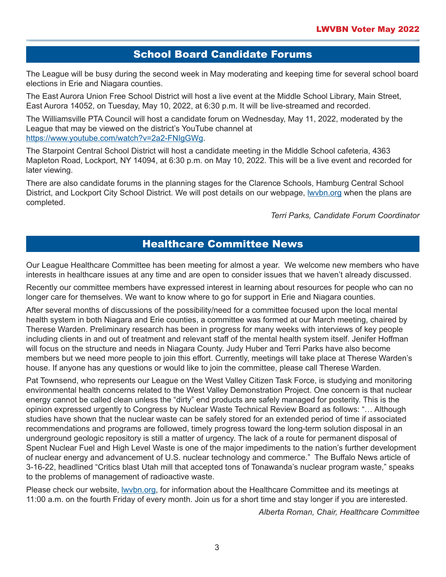## School Board Candidate Forums

The League will be busy during the second week in May moderating and keeping time for several school board elections in Erie and Niagara counties.

The East Aurora Union Free School District will host a live event at the Middle School Library, Main Street, East Aurora 14052, on Tuesday, May 10, 2022, at 6:30 p.m. It will be live-streamed and recorded.

The Williamsville PTA Council will host a candidate forum on Wednesday, May 11, 2022, moderated by the League that may be viewed on the district's YouTube channel at [https://www.youtube.com/watch?v=2a2-FNIgGW](https://www.youtube.com/watch?v=2a2-FNIgGWg)g.

The Starpoint Central School District will host a candidate meeting in the Middle School cafeteria, 4363 Mapleton Road, Lockport, NY 14094, at 6:30 p.m. on May 10, 2022. This will be a live event and recorded for later viewing.

There are also candidate forums in the planning stages for the Clarence Schools, Hamburg Central School District, and Lockport City School District. We will post details on our webpage, [lwvbn.org](https://www.lwvbn.org/) when the plans are completed.

*Terri Parks, Candidate Forum Coordinator*

# Healthcare Committee News

Our League Healthcare Committee has been meeting for almost a year. We welcome new members who have interests in healthcare issues at any time and are open to consider issues that we haven't already discussed.

Recently our committee members have expressed interest in learning about resources for people who can no longer care for themselves. We want to know where to go for support in Erie and Niagara counties.

After several months of discussions of the possibility/need for a committee focused upon the local mental health system in both Niagara and Erie counties, a committee was formed at our March meeting, chaired by Therese Warden. Preliminary research has been in progress for many weeks with interviews of key people including clients in and out of treatment and relevant staff of the mental health system itself. Jenifer Hoffman will focus on the structure and needs in Niagara County. Judy Huber and Terri Parks have also become members but we need more people to join this effort. Currently, meetings will take place at Therese Warden's house. If anyone has any questions or would like to join the committee, please call Therese Warden.

Pat Townsend, who represents our League on the West Valley Citizen Task Force, is studying and monitoring environmental health concerns related to the West Valley Demonstration Project. One concern is that nuclear energy cannot be called clean unless the "dirty" end products are safely managed for posterity. This is the opinion expressed urgently to Congress by Nuclear Waste Technical Review Board as follows: "… Although studies have shown that the nuclear waste can be safely stored for an extended period of time if associated recommendations and programs are followed, timely progress toward the long-term solution disposal in an underground geologic repository is still a matter of urgency. The lack of a route for permanent disposal of Spent Nuclear Fuel and High Level Waste is one of the major impediments to the nation's further development of nuclear energy and advancement of U.S. nuclear technology and commerce." The Buffalo News article of 3-16-22, headlined "Critics blast Utah mill that accepted tons of Tonawanda's nuclear program waste," speaks to the problems of management of radioactive waste.

Please check our website, [lwvbn.org](https://www.lwvbn.org/), for information about the Healthcare Committee and its meetings at 11:00 a.m. on the fourth Friday of every month. Join us for a short time and stay longer if you are interested.

*Alberta Roman, Chair, Healthcare Committee*